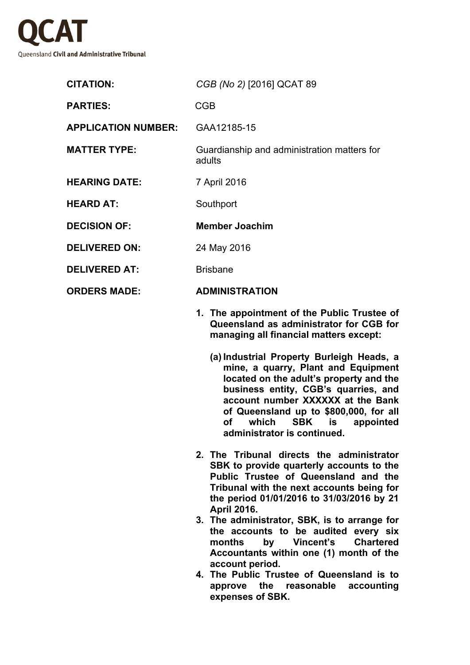

| <b>CITATION:</b>           | CGB (No 2) [2016] QCAT 89                             |
|----------------------------|-------------------------------------------------------|
| <b>PARTIES:</b>            | <b>CGB</b>                                            |
| <b>APPLICATION NUMBER:</b> | GAA12185-15                                           |
| <b>MATTER TYPE:</b>        | Guardianship and administration matters for<br>adults |
| <b>HEARING DATE:</b>       | 7 April 2016                                          |
| <b>HEARD AT:</b>           | Southport                                             |
| <b>DECISION OF:</b>        | <b>Member Joachim</b>                                 |
| <b>DELIVERED ON:</b>       | 24 May 2016                                           |
| <b>DELIVERED AT:</b>       | <b>Brisbane</b>                                       |
| <b>ORDERS MADE:</b>        | <b>ADMINISTRATION</b>                                 |
|                            |                                                       |

- **1. The appointment of the Public Trustee of Queensland as administrator for CGB for managing all financial matters except:**
	- **(a) Industrial Property Burleigh Heads, a mine, a quarry, Plant and Equipment located on the adult's property and the business entity, CGB's quarries, and account number XXXXXX at the Bank of Queensland up to \$800,000, for all of which SBK is appointed administrator is continued.**
- **2. The Tribunal directs the administrator SBK to provide quarterly accounts to the Public Trustee of Queensland and the Tribunal with the next accounts being for the period 01/01/2016 to 31/03/2016 by 21 April 2016.**
- **3. The administrator, SBK, is to arrange for the accounts to be audited every six months by Vincent's Chartered Accountants within one (1) month of the account period.**
- **4. The Public Trustee of Queensland is to approve the reasonable accounting expenses of SBK.**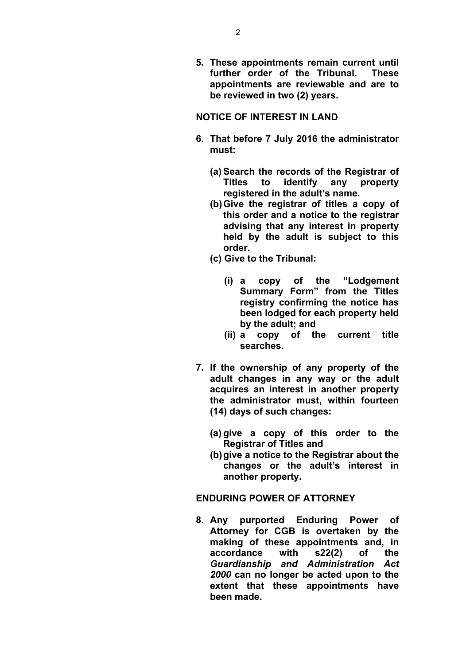**5. These appointments remain current until further order of the Tribunal. These appointments are reviewable and are to be reviewed in two (2) years.**

# **NOTICE OF INTEREST IN LAND**

- **6. That before 7 July 2016 the administrator must:**
	- **(a) Search the records of the Registrar of Titles to identify any property registered in the adult's name.**
	- **(b)Give the registrar of titles a copy of this order and a notice to the registrar advising that any interest in property held by the adult is subject to this order.**
	- **(c) Give to the Tribunal:**
		- **(i) a copy of the "Lodgement Summary Form" from the Titles registry confirming the notice has been lodged for each property held by the adult; and**
		- **(ii) a copy of the current title searches.**
- **7. If the ownership of any property of the adult changes in any way or the adult acquires an interest in another property the administrator must, within fourteen (14) days of such changes:**
	- **(a) give a copy of this order to the Registrar of Titles and**
	- **(b)give a notice to the Registrar about the changes or the adult's interest in another property.**

# **ENDURING POWER OF ATTORNEY**

**8. Any purported Enduring Power of Attorney for CGB is overtaken by the making of these appointments and, in accordance with s22(2) of the**  *Guardianship and Administration Act 2000* **can no longer be acted upon to the extent that these appointments have been made.**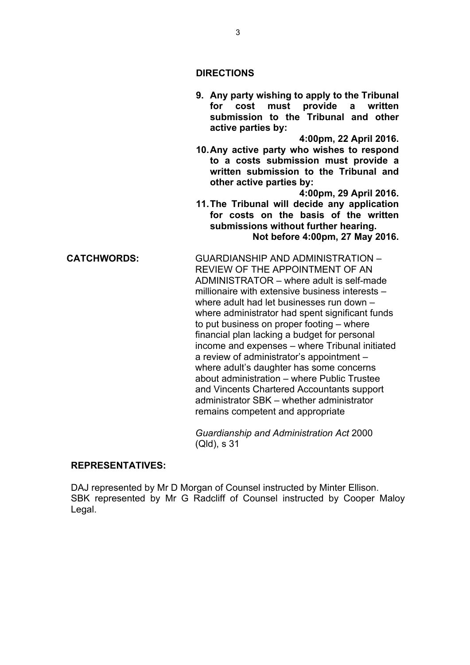### **DIRECTIONS**

**9. Any party wishing to apply to the Tribunal for cost must provide a written submission to the Tribunal and other active parties by:**

**4:00pm, 22 April 2016.**

**10.Any active party who wishes to respond to a costs submission must provide a written submission to the Tribunal and other active parties by:**

**4:00pm, 29 April 2016. 11.The Tribunal will decide any application for costs on the basis of the written submissions without further hearing. Not before 4:00pm, 27 May 2016.**

**CATCHWORDS:** GUARDIANSHIP AND ADMINISTRATION – REVIEW OF THE APPOINTMENT OF AN ADMINISTRATOR – where adult is self-made millionaire with extensive business interests – where adult had let businesses run down – where administrator had spent significant funds to put business on proper footing – where financial plan lacking a budget for personal income and expenses – where Tribunal initiated a review of administrator's appointment – where adult's daughter has some concerns about administration – where Public Trustee and Vincents Chartered Accountants support administrator SBK – whether administrator remains competent and appropriate

> *Guardianship and Administration Act* 2000 (Qld), s 31

### **REPRESENTATIVES:**

DAJ represented by Mr D Morgan of Counsel instructed by Minter Ellison. SBK represented by Mr G Radcliff of Counsel instructed by Cooper Maloy Legal.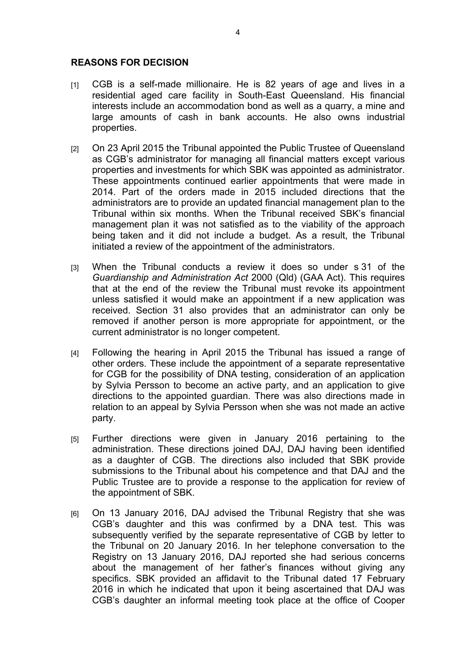## **REASONS FOR DECISION**

- [1] CGB is a self-made millionaire. He is 82 years of age and lives in a residential aged care facility in South-East Queensland. His financial interests include an accommodation bond as well as a quarry, a mine and large amounts of cash in bank accounts. He also owns industrial properties.
- [2] On 23 April 2015 the Tribunal appointed the Public Trustee of Queensland as CGB's administrator for managing all financial matters except various properties and investments for which SBK was appointed as administrator. These appointments continued earlier appointments that were made in 2014. Part of the orders made in 2015 included directions that the administrators are to provide an updated financial management plan to the Tribunal within six months. When the Tribunal received SBK's financial management plan it was not satisfied as to the viability of the approach being taken and it did not include a budget. As a result, the Tribunal initiated a review of the appointment of the administrators.
- [3] When the Tribunal conducts a review it does so under s 31 of the *Guardianship and Administration Act* 2000 (Qld) (GAA Act). This requires that at the end of the review the Tribunal must revoke its appointment unless satisfied it would make an appointment if a new application was received. Section 31 also provides that an administrator can only be removed if another person is more appropriate for appointment, or the current administrator is no longer competent.
- [4] Following the hearing in April 2015 the Tribunal has issued a range of other orders. These include the appointment of a separate representative for CGB for the possibility of DNA testing, consideration of an application by Sylvia Persson to become an active party, and an application to give directions to the appointed guardian. There was also directions made in relation to an appeal by Sylvia Persson when she was not made an active party.
- [5] Further directions were given in January 2016 pertaining to the administration. These directions joined DAJ, DAJ having been identified as a daughter of CGB. The directions also included that SBK provide submissions to the Tribunal about his competence and that DAJ and the Public Trustee are to provide a response to the application for review of the appointment of SBK.
- [6] On 13 January 2016, DAJ advised the Tribunal Registry that she was CGB's daughter and this was confirmed by a DNA test. This was subsequently verified by the separate representative of CGB by letter to the Tribunal on 20 January 2016. In her telephone conversation to the Registry on 13 January 2016, DAJ reported she had serious concerns about the management of her father's finances without giving any specifics. SBK provided an affidavit to the Tribunal dated 17 February 2016 in which he indicated that upon it being ascertained that DAJ was CGB's daughter an informal meeting took place at the office of Cooper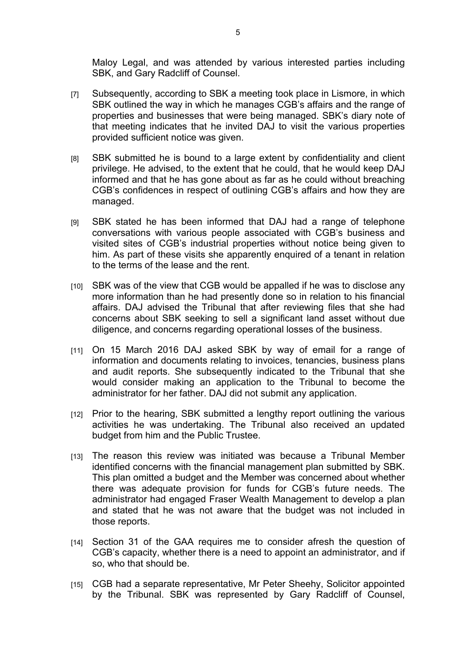Maloy Legal, and was attended by various interested parties including SBK, and Gary Radcliff of Counsel.

- [7] Subsequently, according to SBK a meeting took place in Lismore, in which SBK outlined the way in which he manages CGB's affairs and the range of properties and businesses that were being managed. SBK's diary note of that meeting indicates that he invited DAJ to visit the various properties provided sufficient notice was given.
- [8] SBK submitted he is bound to a large extent by confidentiality and client privilege. He advised, to the extent that he could, that he would keep DAJ informed and that he has gone about as far as he could without breaching CGB's confidences in respect of outlining CGB's affairs and how they are managed.
- [9] SBK stated he has been informed that DAJ had a range of telephone conversations with various people associated with CGB's business and visited sites of CGB's industrial properties without notice being given to him. As part of these visits she apparently enquired of a tenant in relation to the terms of the lease and the rent.
- [10] SBK was of the view that CGB would be appalled if he was to disclose any more information than he had presently done so in relation to his financial affairs. DAJ advised the Tribunal that after reviewing files that she had concerns about SBK seeking to sell a significant land asset without due diligence, and concerns regarding operational losses of the business.
- [11] On 15 March 2016 DAJ asked SBK by way of email for a range of information and documents relating to invoices, tenancies, business plans and audit reports. She subsequently indicated to the Tribunal that she would consider making an application to the Tribunal to become the administrator for her father. DAJ did not submit any application.
- [12] Prior to the hearing, SBK submitted a lengthy report outlining the various activities he was undertaking. The Tribunal also received an updated budget from him and the Public Trustee.
- [13] The reason this review was initiated was because a Tribunal Member identified concerns with the financial management plan submitted by SBK. This plan omitted a budget and the Member was concerned about whether there was adequate provision for funds for CGB's future needs. The administrator had engaged Fraser Wealth Management to develop a plan and stated that he was not aware that the budget was not included in those reports.
- [14] Section 31 of the GAA requires me to consider afresh the question of CGB's capacity, whether there is a need to appoint an administrator, and if so, who that should be.
- [15] CGB had a separate representative, Mr Peter Sheehy, Solicitor appointed by the Tribunal. SBK was represented by Gary Radcliff of Counsel,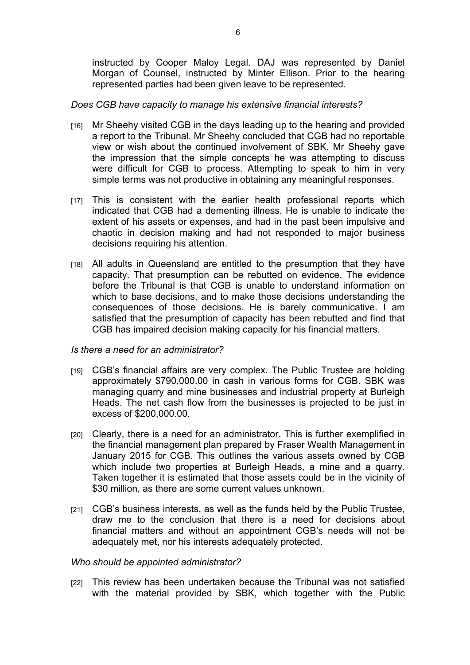instructed by Cooper Maloy Legal. DAJ was represented by Daniel Morgan of Counsel, instructed by Minter Ellison. Prior to the hearing represented parties had been given leave to be represented.

## *Does CGB have capacity to manage his extensive financial interests?*

- [16] Mr Sheehy visited CGB in the days leading up to the hearing and provided a report to the Tribunal. Mr Sheehy concluded that CGB had no reportable view or wish about the continued involvement of SBK. Mr Sheehy gave the impression that the simple concepts he was attempting to discuss were difficult for CGB to process. Attempting to speak to him in very simple terms was not productive in obtaining any meaningful responses.
- [17] This is consistent with the earlier health professional reports which indicated that CGB had a dementing illness. He is unable to indicate the extent of his assets or expenses, and had in the past been impulsive and chaotic in decision making and had not responded to major business decisions requiring his attention.
- [18] All adults in Queensland are entitled to the presumption that they have capacity. That presumption can be rebutted on evidence. The evidence before the Tribunal is that CGB is unable to understand information on which to base decisions, and to make those decisions understanding the consequences of those decisions. He is barely communicative. I am satisfied that the presumption of capacity has been rebutted and find that CGB has impaired decision making capacity for his financial matters.

### *Is there a need for an administrator?*

- [19] CGB's financial affairs are very complex. The Public Trustee are holding approximately \$790,000.00 in cash in various forms for CGB. SBK was managing quarry and mine businesses and industrial property at Burleigh Heads. The net cash flow from the businesses is projected to be just in excess of \$200,000.00.
- [20] Clearly, there is a need for an administrator. This is further exemplified in the financial management plan prepared by Fraser Wealth Management in January 2015 for CGB. This outlines the various assets owned by CGB which include two properties at Burleigh Heads, a mine and a quarry. Taken together it is estimated that those assets could be in the vicinity of \$30 million, as there are some current values unknown.
- [21] CGB's business interests, as well as the funds held by the Public Trustee, draw me to the conclusion that there is a need for decisions about financial matters and without an appointment CGB's needs will not be adequately met, nor his interests adequately protected.

### *Who should be appointed administrator?*

[22] This review has been undertaken because the Tribunal was not satisfied with the material provided by SBK, which together with the Public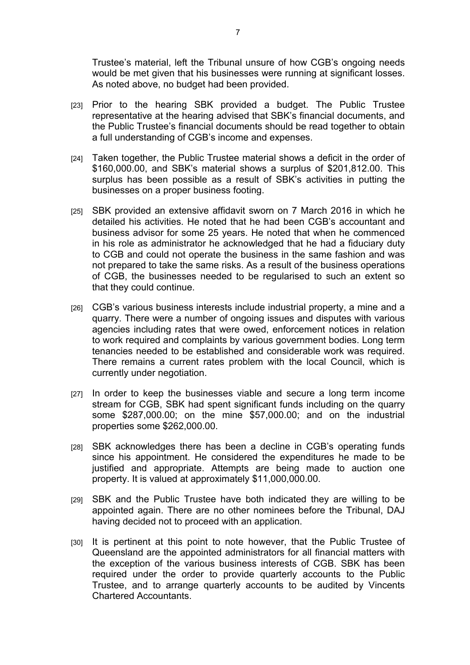Trustee's material, left the Tribunal unsure of how CGB's ongoing needs would be met given that his businesses were running at significant losses. As noted above, no budget had been provided.

- [23] Prior to the hearing SBK provided a budget. The Public Trustee representative at the hearing advised that SBK's financial documents, and the Public Trustee's financial documents should be read together to obtain a full understanding of CGB's income and expenses.
- [24] Taken together, the Public Trustee material shows a deficit in the order of \$160,000.00, and SBK's material shows a surplus of \$201,812.00. This surplus has been possible as a result of SBK's activities in putting the businesses on a proper business footing.
- [25] SBK provided an extensive affidavit sworn on 7 March 2016 in which he detailed his activities. He noted that he had been CGB's accountant and business advisor for some 25 years. He noted that when he commenced in his role as administrator he acknowledged that he had a fiduciary duty to CGB and could not operate the business in the same fashion and was not prepared to take the same risks. As a result of the business operations of CGB, the businesses needed to be regularised to such an extent so that they could continue.
- [26] CGB's various business interests include industrial property, a mine and a quarry. There were a number of ongoing issues and disputes with various agencies including rates that were owed, enforcement notices in relation to work required and complaints by various government bodies. Long term tenancies needed to be established and considerable work was required. There remains a current rates problem with the local Council, which is currently under negotiation.
- [27] In order to keep the businesses viable and secure a long term income stream for CGB, SBK had spent significant funds including on the quarry some \$287,000.00; on the mine \$57,000.00; and on the industrial properties some \$262,000.00.
- [28] SBK acknowledges there has been a decline in CGB's operating funds since his appointment. He considered the expenditures he made to be justified and appropriate. Attempts are being made to auction one property. It is valued at approximately \$11,000,000.00.
- [29] SBK and the Public Trustee have both indicated they are willing to be appointed again. There are no other nominees before the Tribunal, DAJ having decided not to proceed with an application.
- [30] It is pertinent at this point to note however, that the Public Trustee of Queensland are the appointed administrators for all financial matters with the exception of the various business interests of CGB. SBK has been required under the order to provide quarterly accounts to the Public Trustee, and to arrange quarterly accounts to be audited by Vincents Chartered Accountants.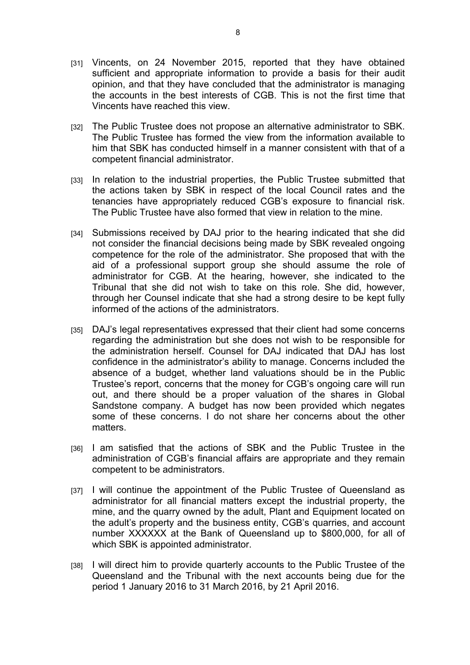- [31] Vincents, on 24 November 2015, reported that they have obtained sufficient and appropriate information to provide a basis for their audit opinion, and that they have concluded that the administrator is managing the accounts in the best interests of CGB. This is not the first time that Vincents have reached this view.
- [32] The Public Trustee does not propose an alternative administrator to SBK. The Public Trustee has formed the view from the information available to him that SBK has conducted himself in a manner consistent with that of a competent financial administrator.
- [33] In relation to the industrial properties, the Public Trustee submitted that the actions taken by SBK in respect of the local Council rates and the tenancies have appropriately reduced CGB's exposure to financial risk. The Public Trustee have also formed that view in relation to the mine.
- [34] Submissions received by DAJ prior to the hearing indicated that she did not consider the financial decisions being made by SBK revealed ongoing competence for the role of the administrator. She proposed that with the aid of a professional support group she should assume the role of administrator for CGB. At the hearing, however, she indicated to the Tribunal that she did not wish to take on this role. She did, however, through her Counsel indicate that she had a strong desire to be kept fully informed of the actions of the administrators.
- [35] DAJ's legal representatives expressed that their client had some concerns regarding the administration but she does not wish to be responsible for the administration herself. Counsel for DAJ indicated that DAJ has lost confidence in the administrator's ability to manage. Concerns included the absence of a budget, whether land valuations should be in the Public Trustee's report, concerns that the money for CGB's ongoing care will run out, and there should be a proper valuation of the shares in Global Sandstone company. A budget has now been provided which negates some of these concerns. I do not share her concerns about the other matters.
- [36] I am satisfied that the actions of SBK and the Public Trustee in the administration of CGB's financial affairs are appropriate and they remain competent to be administrators.
- [37] I will continue the appointment of the Public Trustee of Queensland as administrator for all financial matters except the industrial property, the mine, and the quarry owned by the adult, Plant and Equipment located on the adult's property and the business entity, CGB's quarries, and account number XXXXXX at the Bank of Queensland up to \$800,000, for all of which SBK is appointed administrator.
- [38] I will direct him to provide quarterly accounts to the Public Trustee of the Queensland and the Tribunal with the next accounts being due for the period 1 January 2016 to 31 March 2016, by 21 April 2016.